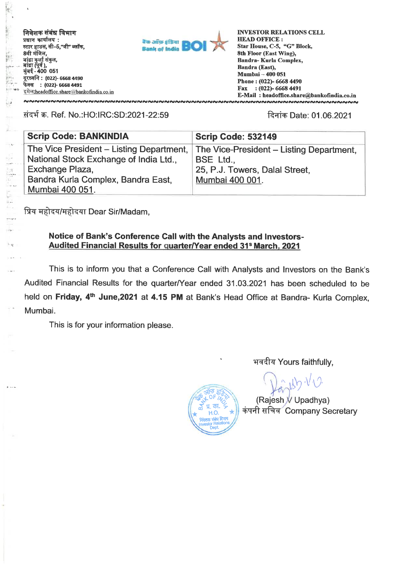**निवेशक संबंध विभाग प्रधान कार्यालय:** स्टार हाउस, सी-5,"जी" ब्लॉक, **8वी मंजिल,** बांद्रा कुर्ला संकुल,<br>बांद्रा (पूर्व ),<br>मुंबई - 400 051 **: (022)- 6668 4490 %-qff : (022)- 6668 4491 ift:headoffice.sharealbankofindia.co.in**  NNNNNNNNNNNNNNNNNNNNNNNNNNNNNNNNNNN

 $\rightarrow$ 

in 1911



**INVESTOR RELATIONS CELL HEAD OFFICE : Star House, C-5, "G" Block, 8th Floor (East Wing), Bandra- Kuria Complex, Bandra (East), Mumbai — 400 051 Phone : (022)- 6668 4490 Fax : (022)- 6668 4491 E-Mail : headoffice.share@bankofindia.co.in**  <u>MNNNNNNNNNNNNNNNNNNNNNNNNNNNNNN</u>

### **Ti-q-4 W. Ref. No.:HO:IRC:SD:2021-22:59 R9tw Date: 01.06.2021**

| <b>Scrip Code: BANKINDIA</b>                          | <b>Scrip Code: 532149</b>                                                                             |  |
|-------------------------------------------------------|-------------------------------------------------------------------------------------------------------|--|
| National Stock Exchange of India Ltd.,                | The Vice President – Listing Department, The Vice-President – Listing Department,<br><b>BSE Ltd.,</b> |  |
| Exchange Plaza,<br>Bandra Kurla Complex, Bandra East, | 25, P.J. Towers, Dalal Street,<br>Mumbai 400 001.                                                     |  |
| Mumbai 400 051.                                       |                                                                                                       |  |

प्रिय महोदय/महोदया Dear Sir/Madam,

#### **Notice of Bank's Conference Call with the Analysts and Investors-Audited Financial Results for quarter/Year ended 31S March, 2021**

**This is to inform you that a Conference Call with Analysts and Investors on the Bank's Audited Financial Results for the quarter/Year ended 31.03.2021 has been scheduled to be held on Friday, 4th June,2021 at 4.15 PM at Bank's Head Office at Bandra- Kurla Complex, Mumbai.** 

**This is for your information please.** 

**भवदीय Yours faithfully,** 

**(Rajesh V Upadhya) कंपनी सचिव** Company Secretary